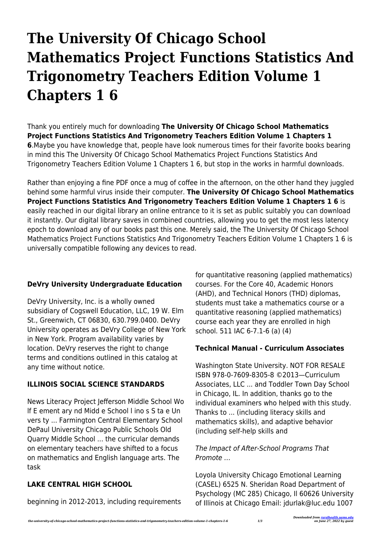# **The University Of Chicago School Mathematics Project Functions Statistics And Trigonometry Teachers Edition Volume 1 Chapters 1 6**

Thank you entirely much for downloading **The University Of Chicago School Mathematics Project Functions Statistics And Trigonometry Teachers Edition Volume 1 Chapters 1 6**.Maybe you have knowledge that, people have look numerous times for their favorite books bearing in mind this The University Of Chicago School Mathematics Project Functions Statistics And Trigonometry Teachers Edition Volume 1 Chapters 1 6, but stop in the works in harmful downloads.

Rather than enjoying a fine PDF once a mug of coffee in the afternoon, on the other hand they juggled behind some harmful virus inside their computer. **The University Of Chicago School Mathematics Project Functions Statistics And Trigonometry Teachers Edition Volume 1 Chapters 1 6** is easily reached in our digital library an online entrance to it is set as public suitably you can download it instantly. Our digital library saves in combined countries, allowing you to get the most less latency epoch to download any of our books past this one. Merely said, the The University Of Chicago School Mathematics Project Functions Statistics And Trigonometry Teachers Edition Volume 1 Chapters 1 6 is universally compatible following any devices to read.

## **DeVry University Undergraduate Education**

DeVry University, Inc. is a wholly owned subsidiary of Cogswell Education, LLC, 19 W. Elm St., Greenwich, CT 06830, 630.799.0400. DeVry University operates as DeVry College of New York in New York. Program availability varies by location. DeVry reserves the right to change terms and conditions outlined in this catalog at any time without notice.

## **ILLINOIS SOCIAL SCIENCE STANDARDS**

News Literacy Project Jefferson Middle School Wo lf E ement ary nd Midd e School l ino s S ta e Un vers ty ... Farmington Central Elementary School DePaul University Chicago Public Schools Old Quarry Middle School ... the curricular demands on elementary teachers have shifted to a focus on mathematics and English language arts. The task

# **LAKE CENTRAL HIGH SCHOOL**

beginning in 2012-2013, including requirements

for quantitative reasoning (applied mathematics) courses. For the Core 40, Academic Honors (AHD), and Technical Honors (THD) diplomas, students must take a mathematics course or a quantitative reasoning (applied mathematics) course each year they are enrolled in high school. 511 IAC 6-7.1-6 (a) (4)

#### **Technical Manual - Curriculum Associates**

Washington State University. NOT FOR RESALE ISBN 978-0-7609-8305-8 ©2013—Curriculum Associates, LLC ... and Toddler Town Day School in Chicago, IL. In addition, thanks go to the individual examiners who helped with this study. Thanks to ... (including literacy skills and mathematics skills), and adaptive behavior (including self-help skills and

#### The Impact of After-School Programs That Promote …

Loyola University Chicago Emotional Learning (CASEL) 6525 N. Sheridan Road Department of Psychology (MC 285) Chicago, Il 60626 University of Illinois at Chicago Email: jdurlak@luc.edu 1007